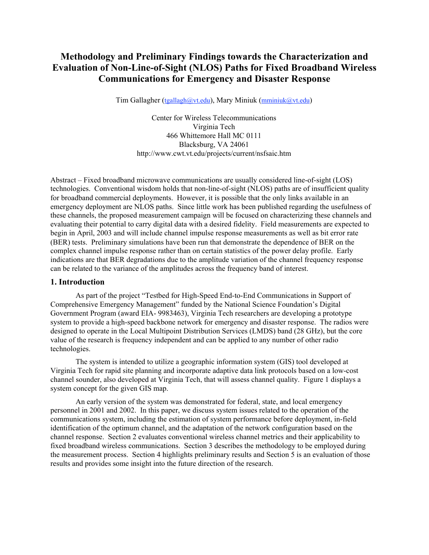# **Methodology and Preliminary Findings towards the Characterization and Evaluation of Non-Line-of-Sight (NLOS) Paths for Fixed Broadband Wireless Communications for Emergency and Disaster Response**

Tim Gallagher (tgallagh@vt.edu), Mary Miniuk (mminiuk@vt.edu)

Center for Wireless Telecommunications Virginia Tech 466 Whittemore Hall MC 0111 Blacksburg, VA 24061 http://www.cwt.vt.edu/projects/current/nsfsaic.htm

Abstract – Fixed broadband microwave communications are usually considered line-of-sight (LOS) technologies. Conventional wisdom holds that non-line-of-sight (NLOS) paths are of insufficient quality for broadband commercial deployments. However, it is possible that the only links available in an emergency deployment are NLOS paths. Since little work has been published regarding the usefulness of these channels, the proposed measurement campaign will be focused on characterizing these channels and evaluating their potential to carry digital data with a desired fidelity. Field measurements are expected to begin in April, 2003 and will include channel impulse response measurements as well as bit error rate (BER) tests. Preliminary simulations have been run that demonstrate the dependence of BER on the complex channel impulse response rather than on certain statistics of the power delay profile. Early indications are that BER degradations due to the amplitude variation of the channel frequency response can be related to the variance of the amplitudes across the frequency band of interest.

# **1. Introduction**

As part of the project "Testbed for High-Speed End-to-End Communications in Support of Comprehensive Emergency Management" funded by the National Science Foundation's Digital Government Program (award EIA- 9983463), Virginia Tech researchers are developing a prototype system to provide a high-speed backbone network for emergency and disaster response. The radios were designed to operate in the Local Multipoint Distribution Services (LMDS) band (28 GHz), but the core value of the research is frequency independent and can be applied to any number of other radio technologies.

The system is intended to utilize a geographic information system (GIS) tool developed at Virginia Tech for rapid site planning and incorporate adaptive data link protocols based on a low-cost channel sounder, also developed at Virginia Tech, that will assess channel quality. Figure 1 displays a system concept for the given GIS map.

An early version of the system was demonstrated for federal, state, and local emergency personnel in 2001 and 2002. In this paper, we discuss system issues related to the operation of the communications system, including the estimation of system performance before deployment, in-field identification of the optimum channel, and the adaptation of the network configuration based on the channel response. Section 2 evaluates conventional wireless channel metrics and their applicability to fixed broadband wireless communications. Section 3 describes the methodology to be employed during the measurement process. Section 4 highlights preliminary results and Section 5 is an evaluation of those results and provides some insight into the future direction of the research.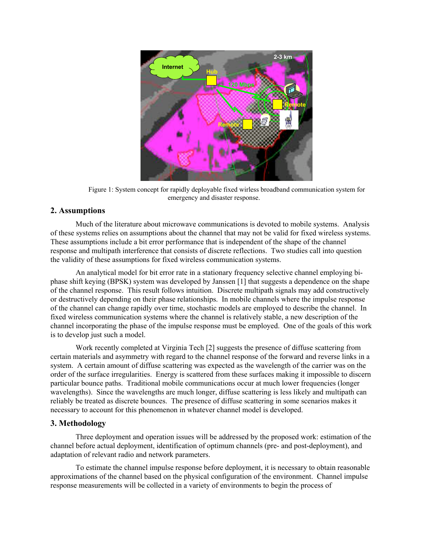

Figure 1: System concept for rapidly deployable fixed wirless broadband communication system for emergency and disaster response.

# **2. Assumptions**

Much of the literature about microwave communications is devoted to mobile systems. Analysis of these systems relies on assumptions about the channel that may not be valid for fixed wireless systems. These assumptions include a bit error performance that is independent of the shape of the channel response and multipath interference that consists of discrete reflections. Two studies call into question the validity of these assumptions for fixed wireless communication systems.

An analytical model for bit error rate in a stationary frequency selective channel employing biphase shift keying (BPSK) system was developed by Janssen [1] that suggests a dependence on the shape of the channel response. This result follows intuition. Discrete multipath signals may add constructively or destructively depending on their phase relationships. In mobile channels where the impulse response of the channel can change rapidly over time, stochastic models are employed to describe the channel. In fixed wireless communication systems where the channel is relatively stable, a new description of the channel incorporating the phase of the impulse response must be employed. One of the goals of this work is to develop just such a model.

Work recently completed at Virginia Tech [2] suggests the presence of diffuse scattering from certain materials and asymmetry with regard to the channel response of the forward and reverse links in a system. A certain amount of diffuse scattering was expected as the wavelength of the carrier was on the order of the surface irregularities. Energy is scattered from these surfaces making it impossible to discern particular bounce paths. Traditional mobile communications occur at much lower frequencies (longer wavelengths). Since the wavelengths are much longer, diffuse scattering is less likely and multipath can reliably be treated as discrete bounces. The presence of diffuse scattering in some scenarios makes it necessary to account for this phenomenon in whatever channel model is developed.

# **3. Methodology**

Three deployment and operation issues will be addressed by the proposed work: estimation of the channel before actual deployment, identification of optimum channels (pre- and post-deployment), and adaptation of relevant radio and network parameters.

To estimate the channel impulse response before deployment, it is necessary to obtain reasonable approximations of the channel based on the physical configuration of the environment. Channel impulse response measurements will be collected in a variety of environments to begin the process of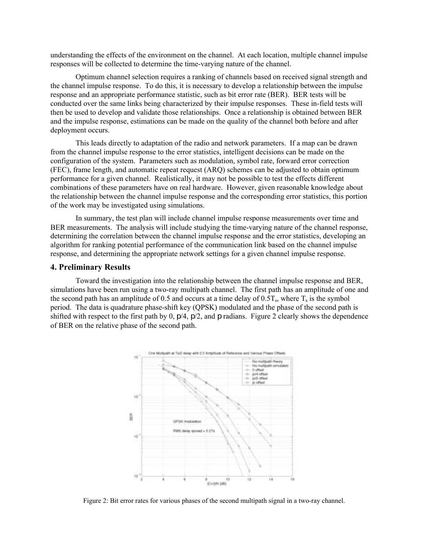understanding the effects of the environment on the channel. At each location, multiple channel impulse responses will be collected to determine the time-varying nature of the channel.

Optimum channel selection requires a ranking of channels based on received signal strength and the channel impulse response. To do this, it is necessary to develop a relationship between the impulse response and an appropriate performance statistic, such as bit error rate (BER). BER tests will be conducted over the same links being characterized by their impulse responses. These in-field tests will then be used to develop and validate those relationships. Once a relationship is obtained between BER and the impulse response, estimations can be made on the quality of the channel both before and after deployment occurs.

This leads directly to adaptation of the radio and network parameters. If a map can be drawn from the channel impulse response to the error statistics, intelligent decisions can be made on the configuration of the system. Parameters such as modulation, symbol rate, forward error correction (FEC), frame length, and automatic repeat request (ARQ) schemes can be adjusted to obtain optimum performance for a given channel. Realistically, it may not be possible to test the effects different combinations of these parameters have on real hardware. However, given reasonable knowledge about the relationship between the channel impulse response and the corresponding error statistics, this portion of the work may be investigated using simulations.

In summary, the test plan will include channel impulse response measurements over time and BER measurements. The analysis will include studying the time-varying nature of the channel response, determining the correlation between the channel impulse response and the error statistics, developing an algorithm for ranking potential performance of the communication link based on the channel impulse response, and determining the appropriate network settings for a given channel impulse response.

#### **4. Preliminary Results**

Toward the investigation into the relationship between the channel impulse response and BER, simulations have been run using a two-ray multipath channel. The first path has an amplitude of one and the second path has an amplitude of 0.5 and occurs at a time delay of 0.5T<sub>s</sub>, where  $T_s$  is the symbol period. The data is quadrature phase-shift key (QPSK) modulated and the phase of the second path is shifted with respect to the first path by 0,  $p/4$ ,  $p/2$ , and p radians. Figure 2 clearly shows the dependence of BER on the relative phase of the second path.



Figure 2: Bit error rates for various phases of the second multipath signal in a two-ray channel.